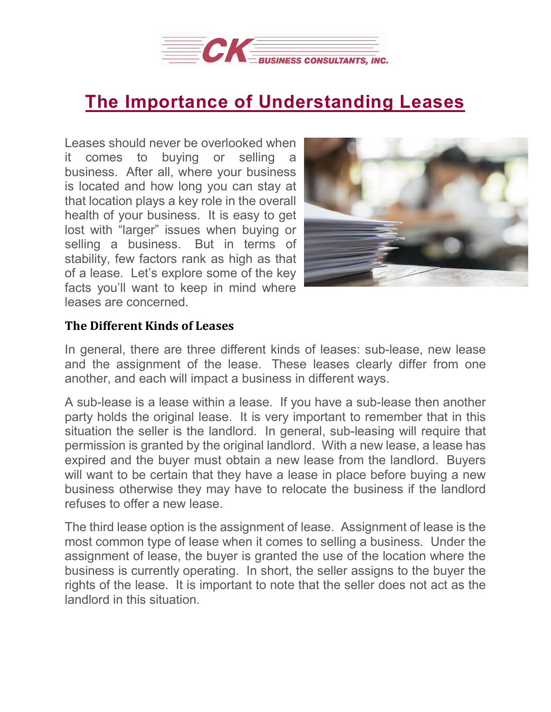

## **The Importance of [Understanding](https://deal-studio.com/the-importance-of-understanding-leases/) Leases**

Leases should never be overlooked when it comes to buying or selling a business. After all, where your business is located and how long you can stay at that location plays a key role in the overall health of your business. It is easy to get lost with "larger" issues when buying or selling a business. But in terms of stability, few factors rank as high as that of a lease. Let's explore some of the key facts you'll want to keep in mind where leases are concerned.



## **The Different Kinds of Leases**

In general, there are three different kinds of leases: sub-lease, new lease and the assignment of the lease. These leases clearly differ from one another, and each will impact a business in different ways.

A sub-lease is a lease within a lease. If you have a sub-lease then another party holds the original lease. It is very important to remember that in this situation the seller is the landlord. In general, sub-leasing will require that permission is granted by the original landlord. With a new lease, a lease has expired and the buyer must obtain a new lease from the landlord. Buyers will want to be certain that they have a lease in place before buying a new business otherwise they may have to relocate the business if the landlord refuses to offer a new lease.

The third lease option is the assignment of lease. Assignment of lease is the most common type of lease when it comes to selling a business. Under the assignment of lease, the buyer is granted the use of the location where the business is currently operating. In short, the seller assigns to the buyer the rights of the lease. It is important to note that the seller does not act as the landlord in this situation.